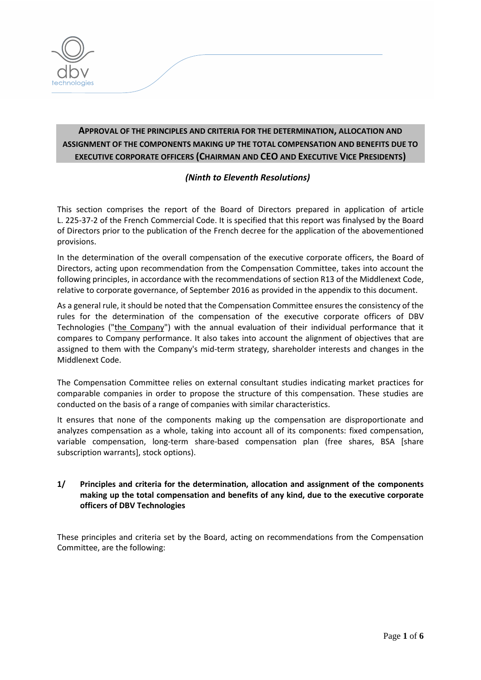

# **APPROVAL OF THE PRINCIPLES AND CRITERIA FOR THE DETERMINATION, ALLOCATION AND ASSIGNMENT OF THE COMPONENTS MAKING UP THE TOTAL COMPENSATION AND BENEFITS DUE TO EXECUTIVE CORPORATE OFFICERS (CHAIRMAN AND CEO AND EXECUTIVE VICE PRESIDENTS)**

## *(Ninth to Eleventh Resolutions)*

This section comprises the report of the Board of Directors prepared in application of article L. 225-37-2 of the French Commercial Code. It is specified that this report was finalysed by the Board of Directors prior to the publication of the French decree for the application of the abovementioned provisions.

In the determination of the overall compensation of the executive corporate officers, the Board of Directors, acting upon recommendation from the Compensation Committee, takes into account the following principles, in accordance with the recommendations of section R13 of the Middlenext Code, relative to corporate governance, of September 2016 as provided in the appendix to this document.

As a general rule, it should be noted that the Compensation Committee ensures the consistency of the rules for the determination of the compensation of the executive corporate officers of DBV Technologies ("the Company") with the annual evaluation of their individual performance that it compares to Company performance. It also takes into account the alignment of objectives that are assigned to them with the Company's mid-term strategy, shareholder interests and changes in the Middlenext Code.

The Compensation Committee relies on external consultant studies indicating market practices for comparable companies in order to propose the structure of this compensation. These studies are conducted on the basis of a range of companies with similar characteristics.

It ensures that none of the components making up the compensation are disproportionate and analyzes compensation as a whole, taking into account all of its components: fixed compensation, variable compensation, long-term share-based compensation plan (free shares, BSA [share subscription warrants], stock options).

## **1/ Principles and criteria for the determination, allocation and assignment of the components making up the total compensation and benefits of any kind, due to the executive corporate officers of DBV Technologies**

These principles and criteria set by the Board, acting on recommendations from the Compensation Committee, are the following: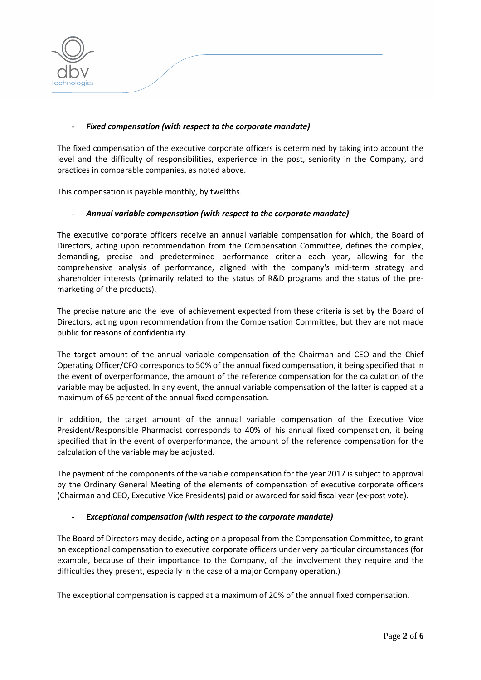

#### - *Fixed compensation (with respect to the corporate mandate)*

The fixed compensation of the executive corporate officers is determined by taking into account the level and the difficulty of responsibilities, experience in the post, seniority in the Company, and practices in comparable companies, as noted above.

This compensation is payable monthly, by twelfths.

#### - *Annual variable compensation (with respect to the corporate mandate)*

The executive corporate officers receive an annual variable compensation for which, the Board of Directors, acting upon recommendation from the Compensation Committee, defines the complex, demanding, precise and predetermined performance criteria each year, allowing for the comprehensive analysis of performance, aligned with the company's mid-term strategy and shareholder interests (primarily related to the status of R&D programs and the status of the premarketing of the products).

The precise nature and the level of achievement expected from these criteria is set by the Board of Directors, acting upon recommendation from the Compensation Committee, but they are not made public for reasons of confidentiality.

The target amount of the annual variable compensation of the Chairman and CEO and the Chief Operating Officer/CFO corresponds to 50% of the annual fixed compensation, it being specified that in the event of overperformance, the amount of the reference compensation for the calculation of the variable may be adjusted. In any event, the annual variable compensation of the latter is capped at a maximum of 65 percent of the annual fixed compensation.

In addition, the target amount of the annual variable compensation of the Executive Vice President/Responsible Pharmacist corresponds to 40% of his annual fixed compensation, it being specified that in the event of overperformance, the amount of the reference compensation for the calculation of the variable may be adjusted.

The payment of the components of the variable compensation for the year 2017 is subject to approval by the Ordinary General Meeting of the elements of compensation of executive corporate officers (Chairman and CEO, Executive Vice Presidents) paid or awarded for said fiscal year (ex-post vote).

#### - *Exceptional compensation (with respect to the corporate mandate)*

The Board of Directors may decide, acting on a proposal from the Compensation Committee, to grant an exceptional compensation to executive corporate officers under very particular circumstances (for example, because of their importance to the Company, of the involvement they require and the difficulties they present, especially in the case of a major Company operation.)

The exceptional compensation is capped at a maximum of 20% of the annual fixed compensation.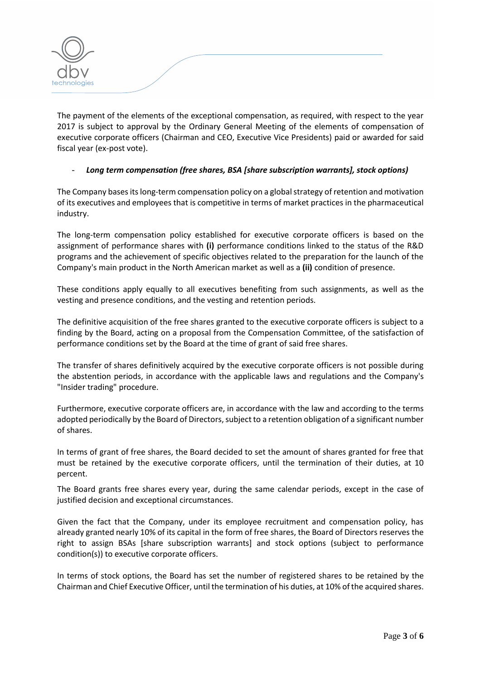

The payment of the elements of the exceptional compensation, as required, with respect to the year 2017 is subject to approval by the Ordinary General Meeting of the elements of compensation of executive corporate officers (Chairman and CEO, Executive Vice Presidents) paid or awarded for said fiscal year (ex-post vote).

#### - *Long term compensation (free shares, BSA [share subscription warrants], stock options)*

The Company bases itslong-term compensation policy on a global strategy of retention and motivation of its executives and employees that is competitive in terms of market practices in the pharmaceutical industry.

The long-term compensation policy established for executive corporate officers is based on the assignment of performance shares with **(i)** performance conditions linked to the status of the R&D programs and the achievement of specific objectives related to the preparation for the launch of the Company's main product in the North American market as well as a **(ii)** condition of presence.

These conditions apply equally to all executives benefiting from such assignments, as well as the vesting and presence conditions, and the vesting and retention periods.

The definitive acquisition of the free shares granted to the executive corporate officers is subject to a finding by the Board, acting on a proposal from the Compensation Committee, of the satisfaction of performance conditions set by the Board at the time of grant of said free shares.

The transfer of shares definitively acquired by the executive corporate officers is not possible during the abstention periods, in accordance with the applicable laws and regulations and the Company's "Insider trading" procedure.

Furthermore, executive corporate officers are, in accordance with the law and according to the terms adopted periodically by the Board of Directors, subject to a retention obligation of a significant number of shares.

In terms of grant of free shares, the Board decided to set the amount of shares granted for free that must be retained by the executive corporate officers, until the termination of their duties, at 10 percent.

The Board grants free shares every year, during the same calendar periods, except in the case of justified decision and exceptional circumstances.

Given the fact that the Company, under its employee recruitment and compensation policy, has already granted nearly 10% of its capital in the form of free shares, the Board of Directors reserves the right to assign BSAs [share subscription warrants] and stock options (subject to performance condition(s)) to executive corporate officers.

In terms of stock options, the Board has set the number of registered shares to be retained by the Chairman and Chief Executive Officer, until the termination of his duties, at 10% of the acquired shares.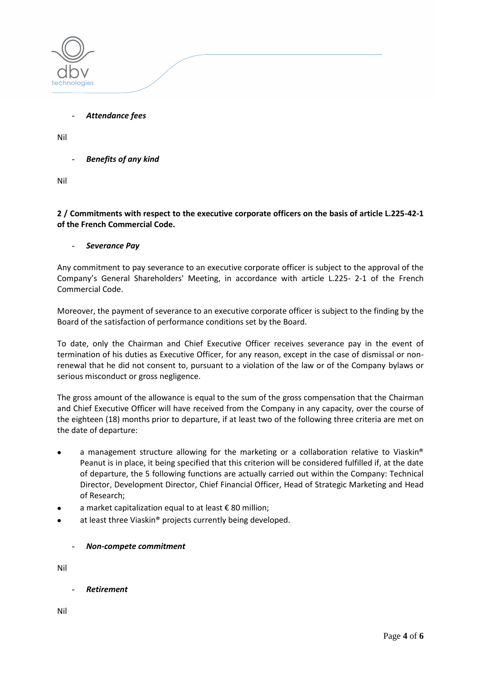

- *Attendance fees*

Nil

**Benefits of any kind** 

Nil

#### **2 / Commitments with respect to the executive corporate officers on the basis of article L.225-42-1 of the French Commercial Code.**

#### - *Severance Pay*

Any commitment to pay severance to an executive corporate officer is subject to the approval of the Company's General Shareholders' Meeting, in accordance with article L.225- 2-1 of the French Commercial Code.

Moreover, the payment of severance to an executive corporate officer is subject to the finding by the Board of the satisfaction of performance conditions set by the Board.

To date, only the Chairman and Chief Executive Officer receives severance pay in the event of termination of his duties as Executive Officer, for any reason, except in the case of dismissal or nonrenewal that he did not consent to, pursuant to a violation of the law or of the Company bylaws or serious misconduct or gross negligence.

The gross amount of the allowance is equal to the sum of the gross compensation that the Chairman and Chief Executive Officer will have received from the Company in any capacity, over the course of the eighteen (18) months prior to departure, if at least two of the following three criteria are met on the date of departure:

- a management structure allowing for the marketing or a collaboration relative to Viaskin® Peanut is in place, it being specified that this criterion will be considered fulfilled if, at the date of departure, the 5 following functions are actually carried out within the Company: Technical Director, Development Director, Chief Financial Officer, Head of Strategic Marketing and Head of Research;
- a market capitalization equal to at least € 80 million;
- at least three Viaskin® projects currently being developed.

## - *Non-compete commitment*

Nil

- *Retirement*

Nil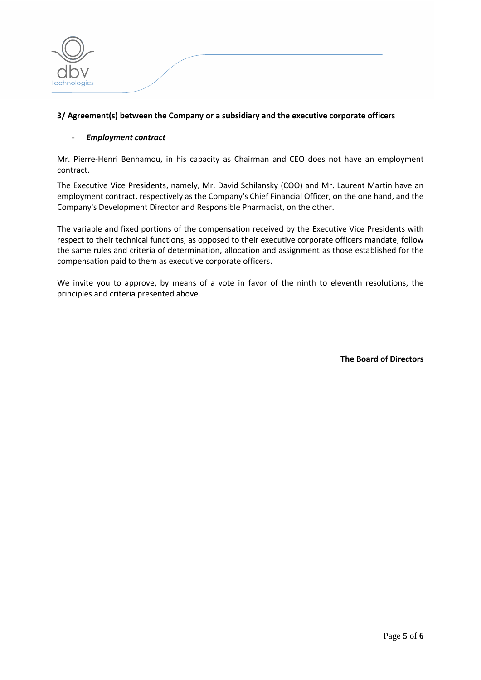

#### **3/ Agreement(s) between the Company or a subsidiary and the executive corporate officers**

#### - *Employment contract*

Mr. Pierre-Henri Benhamou, in his capacity as Chairman and CEO does not have an employment contract.

The Executive Vice Presidents, namely, Mr. David Schilansky (COO) and Mr. Laurent Martin have an employment contract, respectively as the Company's Chief Financial Officer, on the one hand, and the Company's Development Director and Responsible Pharmacist, on the other.

The variable and fixed portions of the compensation received by the Executive Vice Presidents with respect to their technical functions, as opposed to their executive corporate officers mandate, follow the same rules and criteria of determination, allocation and assignment as those established for the compensation paid to them as executive corporate officers.

We invite you to approve, by means of a vote in favor of the ninth to eleventh resolutions, the principles and criteria presented above.

**The Board of Directors**